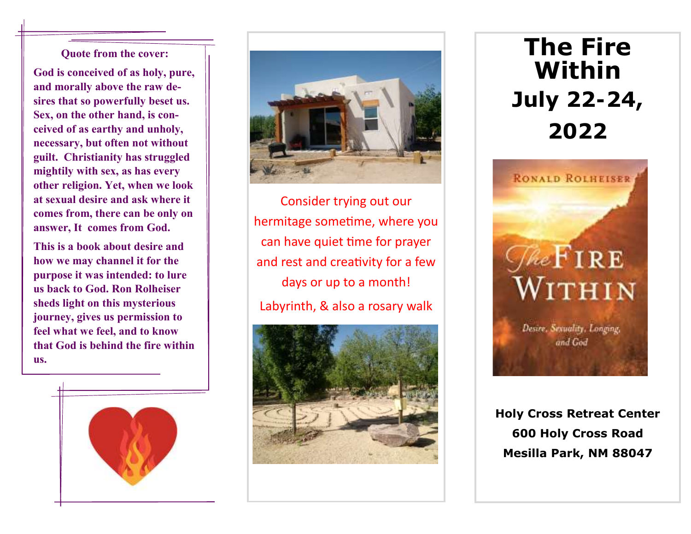## **Quote from the cover:**

**God is conceived of as holy, pure, and morally above the raw desires that so powerfully beset us. Sex, on the other hand, is conceived of as earthy and unholy, necessary, but often not without guilt. Christianity has struggled mightily with sex, as has every other religion. Yet, when we look at sexual desire and ask where it comes from, there can be only on answer, It comes from God.**

**This is a book about desire and how we may channel it for the purpose it was intended: to lure us back to God. Ron Rolheiser sheds light on this mysterious journey, gives us permission to feel what we feel, and to know that God is behind the fire within us.** 





Consider trying out our hermitage sometime, where you can have quiet time for prayer and rest and creativity for a few days or up to a month! Labyrinth, & also a rosary walk



**The Fire Within July 22-24, 2022**



**Holy Cross Retreat Center 600 Holy Cross Road Mesilla Park, NM 88047**